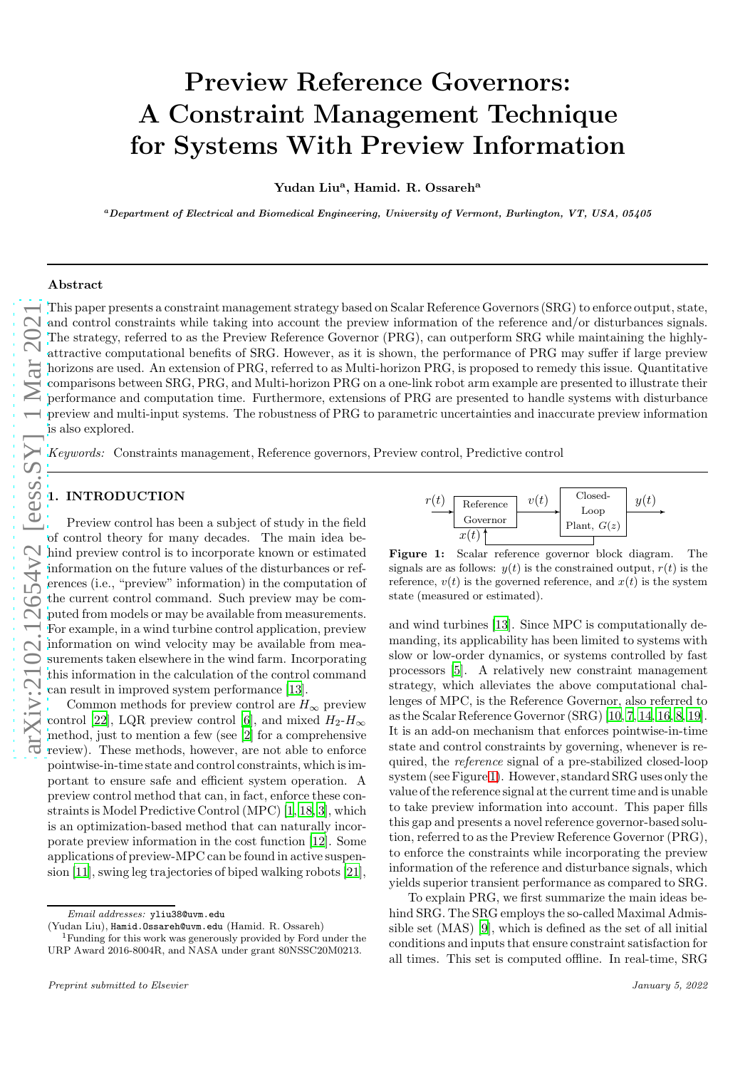# Preview Reference Governors: A Constraint Management Technique for Systems With Preview Information

Yudan Liu<sup>a</sup>, Hamid. R. Ossareh<sup>a</sup>

<sup>a</sup>Department of Electrical and Biomedical Engineering, University of Vermont, Burlington, VT, USA, 05405

#### Abstract

 $\lim_{\pi \to 0} \frac{2\pi}{2102.12654v2}$  [eess.SY] 1 Mar 2021

This paper presents a constraint management strategy based on Scalar Reference Governors (SRG) to enforce output, state, and control constraints while taking into account the preview information of the reference and/or disturbances signals. The strategy, referred to as the Preview Reference Governor (PRG), can outperform SRG while maintaining the highlyattractive computational benefits of SRG. However, as it is shown, the performance of PRG may suffer if large preview horizons are used. An extension of PRG, referred to as Multi-horizon PRG, is proposed to remedy this issue. Quantitative comparisons between SRG, PRG, and Multi-horizon PRG on a one-link robot arm example are presented to illustrate their performance and computation time. Furthermore, extensions of PRG are presented to handle systems with disturbance preview and multi-input systems. The robustness of PRG to parametric uncertainties and inaccurate preview information is also explored.

Keywords: Constraints management, Reference governors, Preview control, Predictive control

#### 1. INTRODUCTION

Preview control has been a subject of study in the field of control theory for many decades. The main idea behind preview control is to incorporate known or estimated information on the future values of the disturbances or references (i.e., "preview" information) in the computation of the current control command. Such preview may be computed from models or may be available from measurements. For example, in a wind turbine control application, preview information on wind velocity may be available from measurements taken elsewhere in the wind farm. Incorporating this information in the calculation of the control command can result in improved system performance [\[13\]](#page-11-0).

Common methods for preview control are  $H_{\infty}$  preview control [\[22](#page-11-1)], LQR preview control [\[6](#page-10-0)], and mixed  $H_2$ - $H_{\infty}$ method, just to mention a few (see [\[2](#page-10-1)] for a comprehensive review). These methods, however, are not able to enforce pointwise-in-time state and control constraints, which is important to ensure safe and efficient system operation. A preview control method that can, in fact, enforce these constraints is Model Predictive Control (MPC) [\[1](#page-10-2), [18](#page-11-2), [3\]](#page-10-3), which is an optimization-based method that can naturally incorporate preview information in the cost function [\[12](#page-11-3)]. Some applications of preview-MPC can be found in active suspension [\[11\]](#page-11-4), swing leg trajectories of biped walking robots [\[21](#page-11-5)],

<span id="page-0-0"></span>

Figure 1: Scalar reference governor block diagram. The signals are as follows:  $y($ t) is the constrained output,  $r(t)$  is the reference, v ( t) is the governed reference, and  $x(t)$  is the system state (measured or estimated).

and wind turbines [\[13](#page-11-0)]. Since MPC is computationally demanding, its applicability has been limited to systems with slow or low-order dynamics, or systems controlled by fast processors [\[5\]](#page-10-4). A relatively new constraint management strategy, which alleviates the above computational challenges of MPC, is the Reference Governor, also referred to as the Scalar Reference Governor (SRG) [\[10,](#page-11-6) [7](#page-10-5), [14,](#page-11-7) [16](#page-11-8), [8,](#page-10-6) [19](#page-11-9)]. It is an add-on mechanism that enforces pointwise-in-time state and control constraints by governing, whenever is required, the reference signal of a pre-stabilized closed-loop system (see Figure [1\)](#page-0-0). However, standard SRG uses only the value of the reference signal at the current time and is unable to take preview information into account. This paper fills this gap and presents a novel reference governor-based solution, referred to as the Preview Reference Governor (PRG), to enforce the constraints while incorporating the preview information of the reference and disturbance signals, which yields superior transient performance as compared to SRG.

To explain PRG, we first summarize the main ideas behind SRG. The SRG employs the so-called Maximal Admissible set (MAS) [\[9](#page-10-7)], which is defined as the set of all initial conditions and inputs that ensure constraint satisfaction for all times. This set is computed offline. In real-time, SRG

*Email addresses:* yliu38@uvm.edu

 ${}^{1}$ Funding for this work was generously provided by Ford under the URP Award 2016-8004R, and NASA under grant 80NSSC20M0213.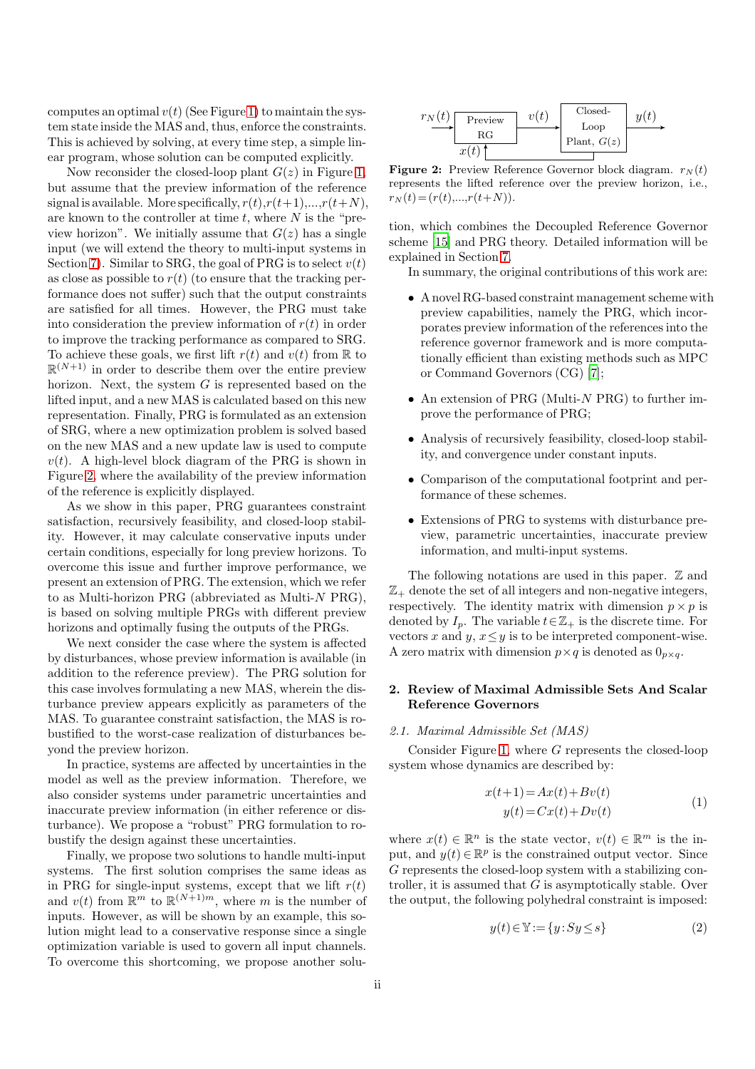computes an optimal  $v(t)$  (See Figure [1\)](#page-0-0) to maintain the system state inside the MAS and, thus, enforce the constraints. This is achieved by solving, at every time step, a simple linear program, whose solution can be computed explicitly.

Now reconsider the closed-loop plant  $G(z)$  in Figure [1,](#page-0-0) but assume that the preview information of the reference signal is available. More specifically,  $r(t), r(t+1), \ldots, r(t+N)$ , are known to the controller at time  $t$ , where  $N$  is the "preview horizon". We initially assume that  $G(z)$  has a single input (we will extend the theory to multi-input systems in Section [7\)](#page-9-0). Similar to SRG, the goal of PRG is to select  $v(t)$ as close as possible to  $r(t)$  (to ensure that the tracking performance does not suffer) such that the output constraints are satisfied for all times. However, the PRG must take into consideration the preview information of  $r(t)$  in order to improve the tracking performance as compared to SRG. To achieve these goals, we first lift  $r(t)$  and  $v(t)$  from R to  $\mathbb{R}^{(N+1)}$  in order to describe them over the entire preview horizon. Next, the system  $G$  is represented based on the lifted input, and a new MAS is calculated based on this new representation. Finally, PRG is formulated as an extension of SRG, where a new optimization problem is solved based on the new MAS and a new update law is used to compute  $v(t)$ . A high-level block diagram of the PRG is shown in Figure [2,](#page-1-0) where the availability of the preview information of the reference is explicitly displayed.

As we show in this paper, PRG guarantees constraint satisfaction, recursively feasibility, and closed-loop stability. However, it may calculate conservative inputs under certain conditions, especially for long preview horizons. To overcome this issue and further improve performance, we present an extension of PRG. The extension, which we refer to as Multi-horizon PRG (abbreviated as Multi-N PRG), is based on solving multiple PRGs with different preview horizons and optimally fusing the outputs of the PRGs.

We next consider the case where the system is affected by disturbances, whose preview information is available (in addition to the reference preview). The PRG solution for this case involves formulating a new MAS, wherein the disturbance preview appears explicitly as parameters of the MAS. To guarantee constraint satisfaction, the MAS is robustified to the worst-case realization of disturbances beyond the preview horizon.

In practice, systems are affected by uncertainties in the model as well as the preview information. Therefore, we also consider systems under parametric uncertainties and inaccurate preview information (in either reference or disturbance). We propose a "robust" PRG formulation to robustify the design against these uncertainties.

Finally, we propose two solutions to handle multi-input systems. The first solution comprises the same ideas as in PRG for single-input systems, except that we lift  $r(t)$ and  $v(t)$  from  $\mathbb{R}^m$  to  $\mathbb{R}^{(N+1)m}$ , where m is the number of inputs. However, as will be shown by an example, this solution might lead to a conservative response since a single optimization variable is used to govern all input channels. To overcome this shortcoming, we propose another solu-

<span id="page-1-0"></span>

**Figure 2:** Preview Reference Governor block diagram.  $r_N(t)$ represents the lifted reference over the preview horizon, i.e.,  $r_N(t) = (r(t),...,r(t+N)).$ 

tion, which combines the Decoupled Reference Governor scheme [\[15\]](#page-11-10) and PRG theory. Detailed information will be explained in Section [7.](#page-9-0)

In summary, the original contributions of this work are:

- A novel RG-based constraint management scheme with preview capabilities, namely the PRG, which incorporates preview information of the references into the reference governor framework and is more computationally efficient than existing methods such as MPC or Command Governors (CG) [\[7\]](#page-10-5);
- An extension of PRG (Multi-N PRG) to further improve the performance of PRG;
- Analysis of recursively feasibility, closed-loop stability, and convergence under constant inputs.
- Comparison of the computational footprint and performance of these schemes.
- Extensions of PRG to systems with disturbance preview, parametric uncertainties, inaccurate preview information, and multi-input systems.

The following notations are used in this paper.  $\mathbb Z$  and  $\mathbb{Z}_+$  denote the set of all integers and non-negative integers, respectively. The identity matrix with dimension  $p \times p$  is denoted by  $I_n$ . The variable  $t \in \mathbb{Z}_+$  is the discrete time. For vectors x and y,  $x \leq y$  is to be interpreted component-wise. A zero matrix with dimension  $p \times q$  is denoted as  $0_{p \times q}$ .

# 2. Review of Maximal Admissible Sets And Scalar Reference Governors

## 2.1. Maximal Admissible Set (MAS)

Consider Figure [1,](#page-0-0) where G represents the closed-loop system whose dynamics are described by:

$$
x(t+1) = Ax(t) + Bv(t)
$$
  
\n
$$
y(t) = Cx(t) + Dv(t)
$$
\n(1)

where  $x(t) \in \mathbb{R}^n$  is the state vector,  $v(t) \in \mathbb{R}^m$  is the input, and  $y(t) \in \mathbb{R}^p$  is the constrained output vector. Since G represents the closed-loop system with a stabilizing controller, it is assumed that  $G$  is asymptotically stable. Over the output, the following polyhedral constraint is imposed:

<span id="page-1-1"></span>
$$
y(t) \in \mathbb{Y} := \{ y : Sy \le s \}
$$
 (2)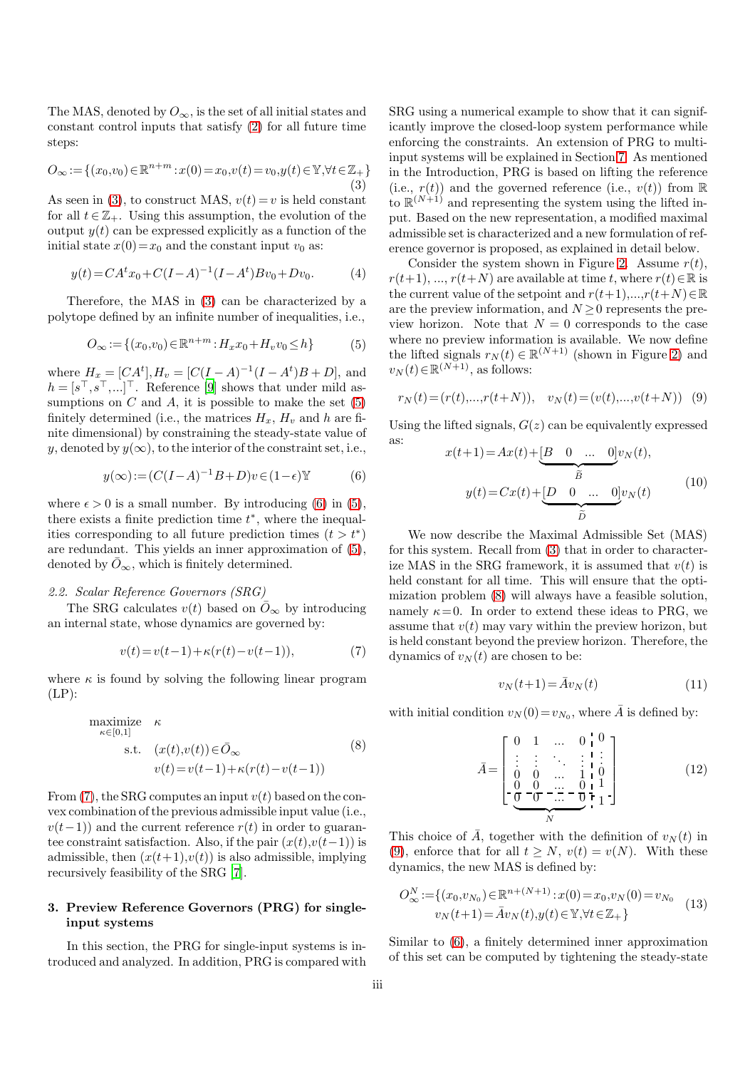<span id="page-2-0"></span>The MAS, denoted by  $O_{\infty}$ , is the set of all initial states and constant control inputs that satisfy [\(2\)](#page-1-1) for all future time steps:

$$
O_{\infty} := \{ (x_0, v_0) \in \mathbb{R}^{n+m} : x(0) = x_0, v(t) = v_0, y(t) \in \mathbb{Y}, \forall t \in \mathbb{Z}_+ \}
$$
\n(3)

As seen in [\(3\)](#page-2-0), to construct MAS,  $v(t) = v$  is held constant for all  $t \in \mathbb{Z}_+$ . Using this assumption, the evolution of the output  $y(t)$  can be expressed explicitly as a function of the initial state  $x(0)=x_0$  and the constant input  $v_0$  as:

$$
y(t) = CA^{t}x_{0} + C(I - A)^{-1}(I - A^{t})Bv_{0} + Dv_{0}.
$$
 (4)

Therefore, the MAS in [\(3\)](#page-2-0) can be characterized by a polytope defined by an infinite number of inequalities, i.e.,

$$
O_{\infty} := \{ (x_0, v_0) \in \mathbb{R}^{n+m} : H_x x_0 + H_v v_0 \le h \}
$$
 (5)

where  $H_x = [CA^t], H_v = [C(I - A)^{-1}(I - A^t)B + D]$ , and  $h = [s^\top, s^\top, \ldots]^\top$ . Reference [\[9\]](#page-10-7) shows that under mild assumptions on  $C$  and  $A$ , it is possible to make the set  $(5)$ finitely determined (i.e., the matrices  $H_x$ ,  $H_y$  and h are finite dimensional) by constraining the steady-state value of y, denoted by  $y(\infty)$ , to the interior of the constraint set, i.e.,

$$
y(\infty) := (C(I - A)^{-1}B + D)v \in (1 - \epsilon) \mathbb{Y}
$$
 (6)

where  $\epsilon > 0$  is a small number. By introducing [\(6\)](#page-2-2) in [\(5\)](#page-2-1), there exists a finite prediction time  $t^*$ , where the inequalities corresponding to all future prediction times  $(t > t^*)$ are redundant. This yields an inner approximation of [\(5\)](#page-2-1), denoted by  $\overline{O}_{\infty}$ , which is finitely determined.

## 2.2. Scalar Reference Governors (SRG)

The SRG calculates  $v(t)$  based on  $\overline{O}_{\infty}$  by introducing an internal state, whose dynamics are governed by:

$$
v(t) = v(t-1) + \kappa (r(t) - v(t-1)), \tag{7}
$$

where  $\kappa$  is found by solving the following linear program  $(LP)$ :

<span id="page-2-4"></span>
$$
\begin{array}{ll}\text{maximize} & \kappa\\ \kappa \in [0,1] & \\ \text{s.t.} & (x(t), v(t)) \in \bar{O}_{\infty} \\ & v(t) = v(t-1) + \kappa(r(t) - v(t-1)) \end{array} \tag{8}
$$

From  $(7)$ , the SRG computes an input  $v(t)$  based on the convex combination of the previous admissible input value (i.e.,  $v(t-1)$ ) and the current reference  $r(t)$  in order to guarantee constraint satisfaction. Also, if the pair  $(x(t),v(t-1))$  is admissible, then  $(x(t+1),v(t))$  is also admissible, implying recursively feasibility of the SRG [\[7](#page-10-5)].

## <span id="page-2-9"></span>3. Preview Reference Governors (PRG) for singleinput systems

In this section, the PRG for single-input systems is introduced and analyzed. In addition, PRG is compared with SRG using a numerical example to show that it can significantly improve the closed-loop system performance while enforcing the constraints. An extension of PRG to multiinput systems will be explained in Section [7.](#page-9-0) As mentioned in the Introduction, PRG is based on lifting the reference (i.e.,  $r(t)$ ) and the governed reference (i.e.,  $v(t)$ ) from R to  $\mathbb{R}^{(N+1)}$  and representing the system using the lifted input. Based on the new representation, a modified maximal admissible set is characterized and a new formulation of reference governor is proposed, as explained in detail below.

<span id="page-2-1"></span>Consider the system shown in Figure [2.](#page-1-0) Assume  $r(t)$ ,  $r(t+1), ..., r(t+N)$  are available at time t, where  $r(t) \in \mathbb{R}$  is the current value of the setpoint and  $r(t+1),...,r(t+N) \in \mathbb{R}$ are the preview information, and  $N \geq 0$  represents the preview horizon. Note that  $N = 0$  corresponds to the case where no preview information is available. We now define the lifted signals  $r_N(t) \in \mathbb{R}^{(N+1)}$  (shown in Figure [2\)](#page-1-0) and  $v_N(t) \in \mathbb{R}^{(N+1)}$ , as follows:

$$
r_N(t) = (r(t), \ldots, r(t+N)), \quad v_N(t) = (v(t), \ldots, v(t+N)) \quad (9)
$$

<span id="page-2-10"></span><span id="page-2-2"></span>Using the lifted signals,  $G(z)$  can be equivalently expressed as:  $\begin{pmatrix} 1 & 1 \end{pmatrix}$ 

<span id="page-2-5"></span>
$$
x(t+1) = Ax(t) + \underbrace{B \quad 0 \quad \dots \quad 0}_{\widetilde{B}} v_N(t),
$$

$$
y(t) = Cx(t) + \underbrace{D \quad 0 \quad \dots \quad 0}_{\widetilde{D}} v_N(t)
$$
(10)

<span id="page-2-3"></span>We now describe the Maximal Admissible Set (MAS) for this system. Recall from [\(3\)](#page-2-0) that in order to characterize MAS in the SRG framework, it is assumed that  $v(t)$  is held constant for all time. This will ensure that the optimization problem [\(8\)](#page-2-4) will always have a feasible solution, namely  $\kappa = 0$ . In order to extend these ideas to PRG, we assume that  $v(t)$  may vary within the preview horizon, but is held constant beyond the preview horizon. Therefore, the dynamics of  $v_N(t)$  are chosen to be:

<span id="page-2-8"></span><span id="page-2-7"></span>
$$
v_N(t+1) = \bar{A}v_N(t) \tag{11}
$$

with initial condition  $v_N(0) = v_{N_0}$ , where  $\overline{A}$  is defined by:

<span id="page-2-6"></span>
$$
\bar{A} = \begin{bmatrix} 0 & 1 & \dots & 0 & 0 \\ \vdots & \vdots & \ddots & \vdots & \vdots \\ 0 & 0 & \dots & 1 & 0 \\ \frac{0}{\cdot} & 0 & \dots & 0 & 1 \\ \frac{0}{\cdot} & 0 & \dots & 0 & 1 \\ \vdots & \vdots & \ddots & \vdots & \vdots \\ \frac{0}{\cdot} & 0 & \dots & 0 & 1 \end{bmatrix}
$$
(12)

This choice of  $\overline{A}$ , together with the definition of  $v_N(t)$  in [\(9\)](#page-2-5), enforce that for all  $t \geq N$ ,  $v(t) = v(N)$ . With these dynamics, the new MAS is defined by:

$$
O_{\infty}^{N} := \{ (x_0, v_{N_0}) \in \mathbb{R}^{n + (N+1)} : x(0) = x_0, v_N(0) = v_{N_0}
$$
  

$$
v_N(t+1) = \bar{A}v_N(t), y(t) \in \mathbb{Y}, \forall t \in \mathbb{Z}_+ \}
$$
 (13)

Similar to [\(6\)](#page-2-2), a finitely determined inner approximation of this set can be computed by tightening the steady-state

N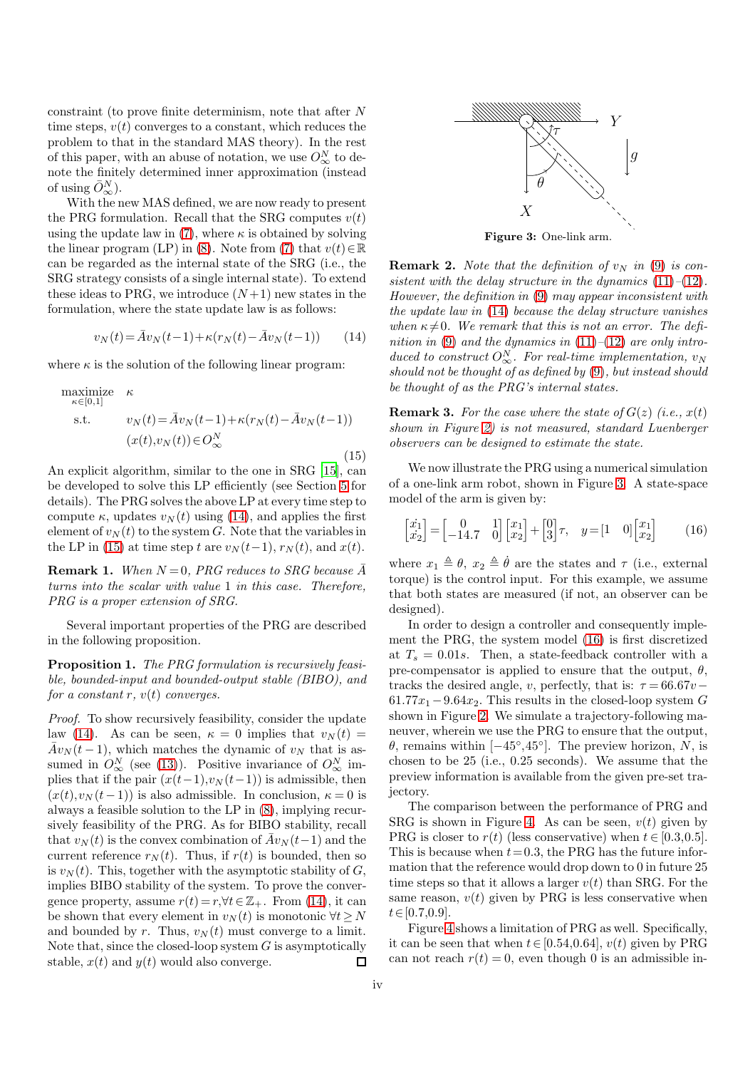constraint (to prove finite determinism, note that after N time steps,  $v(t)$  converges to a constant, which reduces the problem to that in the standard MAS theory). In the rest of this paper, with an abuse of notation, we use  $O^N_{\infty}$  to denote the finitely determined inner approximation (instead of using  $\bar{O}^N_\infty$ ).

With the new MAS defined, we are now ready to present the PRG formulation. Recall that the SRG computes  $v(t)$ using the update law in [\(7\)](#page-2-3), where  $\kappa$  is obtained by solving the linear program (LP) in [\(8\)](#page-2-4). Note from [\(7\)](#page-2-3) that  $v(t) \in \mathbb{R}$ can be regarded as the internal state of the SRG (i.e., the SRG strategy consists of a single internal state). To extend these ideas to PRG, we introduce  $(N+1)$  new states in the formulation, where the state update law is as follows:

$$
v_N(t) = \bar{A}v_N(t-1) + \kappa (r_N(t) - \bar{A}v_N(t-1))
$$
 (14)

where  $\kappa$  is the solution of the following linear program:

$$
\begin{array}{ll}\text{maximize} & \kappa\\ \kappa \in [0,1] & \\ \text{s.t.} & v_N(t) = \bar{A}v_N(t-1) + \kappa(r_N(t) - \bar{A}v_N(t-1))\\ & (x(t), v_N(t)) \in O^N_{\infty} \end{array} \tag{15}
$$

An explicit algorithm, similar to the one in SRG [\[15\]](#page-11-10), can be developed to solve this LP efficiently (see Section [5](#page-5-0) for details). The PRG solves the above LP at every time step to compute  $\kappa$ , updates  $v_N(t)$  using [\(14\)](#page-3-0), and applies the first element of  $v<sub>N</sub>(t)$  to the system G. Note that the variables in the LP in [\(15\)](#page-3-1) at time step t are  $v_N(t-1)$ ,  $r_N(t)$ , and  $x(t)$ .

**Remark 1.** When  $N = 0$ , PRG reduces to SRG because  $\overline{A}$ turns into the scalar with value 1 in this case. Therefore, PRG is a proper extension of SRG.

Several important properties of the PRG are described in the following proposition.

<span id="page-3-4"></span>Proposition 1. The PRG formulation is recursively feasible, bounded-input and bounded-output stable (BIBO), and for a constant r,  $v(t)$  converges.

Proof. To show recursively feasibility, consider the update law [\(14\)](#page-3-0). As can be seen,  $\kappa = 0$  implies that  $v_N(t) =$  $\bar{A}v_N(t-1)$ , which matches the dynamic of  $v_N$  that is assumed in  $O^N_{\infty}$  (see [\(13\)](#page-2-6)). Positive invariance of  $O^N_{\infty}$  implies that if the pair  $(x(t-1),v<sub>N</sub>(t-1))$  is admissible, then  $(x(t),v_N(t-1))$  is also admissible. In conclusion,  $\kappa = 0$  is always a feasible solution to the LP in [\(8\)](#page-2-4), implying recursively feasibility of the PRG. As for BIBO stability, recall that  $v_N(t)$  is the convex combination of  $\bar{A}v_N(t-1)$  and the current reference  $r_N(t)$ . Thus, if  $r(t)$  is bounded, then so is  $v_N(t)$ . This, together with the asymptotic stability of G, implies BIBO stability of the system. To prove the convergence property, assume  $r(t) = r, \forall t \in \mathbb{Z}_+$ . From [\(14\)](#page-3-0), it can be shown that every element in  $v_N(t)$  is monotonic  $\forall t \geq N$ and bounded by r. Thus,  $v_N(t)$  must converge to a limit. Note that, since the closed-loop system  $G$  is asymptotically stable,  $x(t)$  and  $y(t)$  would also converge.  $\Box$ 

<span id="page-3-2"></span>

Figure 3: One-link arm.

<span id="page-3-0"></span>**Remark 2.** Note that the definition of  $v_N$  in [\(9\)](#page-2-5) is consistent with the delay structure in the dynamics  $(11)$ – $(12)$ . However, the definition in [\(9\)](#page-2-5) may appear inconsistent with the update law in [\(14\)](#page-3-0) because the delay structure vanishes when  $\kappa \neq 0$ . We remark that this is not an error. The defi-nition in [\(9\)](#page-2-5) and the dynamics in  $(11)$ – $(12)$  are only introduced to construct  $O_{\infty}^{N}$ . For real-time implementation,  $v_{N}$ should not be thought of as defined by [\(9\)](#page-2-5), but instead should be thought of as the PRG's internal states.

<span id="page-3-1"></span>**Remark 3.** For the case where the state of  $G(z)$  (i.e.,  $x(t)$ ) shown in Figure [2\)](#page-1-0) is not measured, standard Luenberger observers can be designed to estimate the state.

We now illustrate the PRG using a numerical simulation of a one-link arm robot, shown in Figure [3.](#page-3-2) A state-space model of the arm is given by:

<span id="page-3-3"></span>
$$
\begin{bmatrix} \dot{x}_1 \\ \dot{x}_2 \end{bmatrix} = \begin{bmatrix} 0 & 1 \\ -14.7 & 0 \end{bmatrix} \begin{bmatrix} x_1 \\ x_2 \end{bmatrix} + \begin{bmatrix} 0 \\ 3 \end{bmatrix} \tau, \quad y = \begin{bmatrix} 1 & 0 \end{bmatrix} \begin{bmatrix} x_1 \\ x_2 \end{bmatrix} \tag{16}
$$

where  $x_1 \triangleq \theta$ ,  $x_2 \triangleq \dot{\theta}$  are the states and  $\tau$  (i.e., external torque) is the control input. For this example, we assume that both states are measured (if not, an observer can be designed).

In order to design a controller and consequently implement the PRG, the system model [\(16\)](#page-3-3) is first discretized at  $T_s = 0.01s$ . Then, a state-feedback controller with a pre-compensator is applied to ensure that the output,  $\theta$ , tracks the desired angle, v, perfectly, that is:  $\tau = 66.67v$  –  $61.77x_1 - 9.64x_2$ . This results in the closed-loop system G shown in Figure [2.](#page-1-0) We simulate a trajectory-following maneuver, wherein we use the PRG to ensure that the output,  $\theta$ , remains within [ $-45^{\circ}, 45^{\circ}$ ]. The preview horizon,  $N$ , is chosen to be 25 (i.e., 0.25 seconds). We assume that the preview information is available from the given pre-set trajectory.

The comparison between the performance of PRG and SRG is shown in Figure [4.](#page-4-0) As can be seen,  $v(t)$  given by PRG is closer to  $r(t)$  (less conservative) when  $t \in [0.3, 0.5]$ . This is because when  $t = 0.3$ , the PRG has the future information that the reference would drop down to 0 in future 25 time steps so that it allows a larger  $v(t)$  than SRG. For the same reason,  $v(t)$  given by PRG is less conservative when  $t\in[0.7,0.9]$ .

Figure [4](#page-4-0) shows a limitation of PRG as well. Specifically, it can be seen that when  $t \in [0.54, 0.64]$ ,  $v(t)$  given by PRG can not reach  $r(t) = 0$ , even though 0 is an admissible in-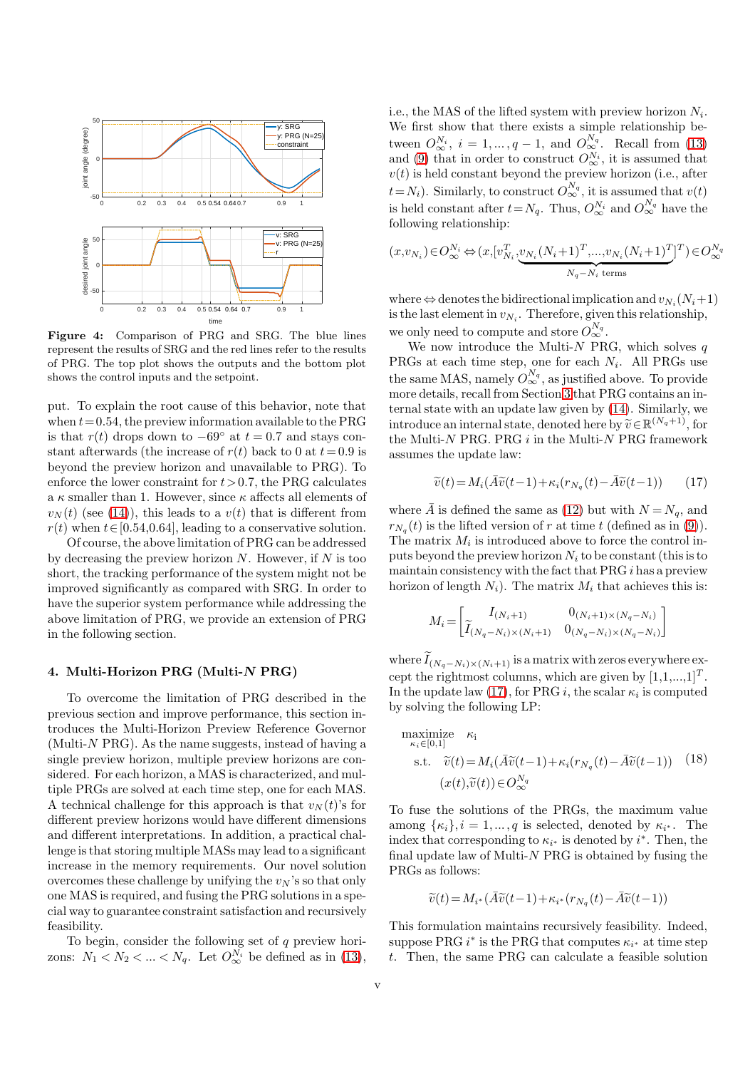<span id="page-4-0"></span>

Figure 4: Comparison of PRG and SRG. The blue lines represent the results of SRG and the red lines refer to the results of PRG. The top plot shows the outputs and the bottom plot shows the control inputs and the setpoint.

put. To explain the root cause of this behavior, note that when  $t = 0.54$ , the preview information available to the PRG is that  $r(t)$  drops down to  $-69°$  at  $t = 0.7$  and stays constant afterwards (the increase of  $r(t)$  back to 0 at  $t=0.9$  is beyond the preview horizon and unavailable to PRG). To enforce the lower constraint for  $t > 0.7$ , the PRG calculates a  $\kappa$  smaller than 1. However, since  $\kappa$  affects all elements of  $v_N(t)$  (see [\(14\)](#page-3-0)), this leads to a  $v(t)$  that is different from  $r(t)$  when  $t \in [0.54, 0.64]$ , leading to a conservative solution.

Of course, the above limitation of PRG can be addressed by decreasing the preview horizon  $N$ . However, if  $N$  is too short, the tracking performance of the system might not be improved significantly as compared with SRG. In order to have the superior system performance while addressing the above limitation of PRG, we provide an extension of PRG in the following section.

#### 4. Multi-Horizon PRG (Multi-N PRG)

To overcome the limitation of PRG described in the previous section and improve performance, this section introduces the Multi-Horizon Preview Reference Governor  $(Multi-N PRG)$ . As the name suggests, instead of having a single preview horizon, multiple preview horizons are considered. For each horizon, a MAS is characterized, and multiple PRGs are solved at each time step, one for each MAS. A technical challenge for this approach is that  $v_N(t)$ 's for different preview horizons would have different dimensions and different interpretations. In addition, a practical challenge is that storing multiple MASs may lead to a significant increase in the memory requirements. Our novel solution overcomes these challenge by unifying the  $v_N$ 's so that only one MAS is required, and fusing the PRG solutions in a special way to guarantee constraint satisfaction and recursively feasibility.

To begin, consider the following set of  $q$  preview horizons:  $N_1 < N_2 < ... < N_q$ . Let  $O_{\infty}^{N_i}$  be defined as in [\(13\)](#page-2-6),

i.e., the MAS of the lifted system with preview horizon  $N_i$ . We first show that there exists a simple relationship between  $O_{\infty}^{N_i}$ ,  $i = 1, ..., q - 1$ , and  $O_{\infty}^{N_q}$ . Recall from [\(13\)](#page-2-6) and [\(9\)](#page-2-5) that in order to construct  $O_{\infty}^{N_i}$ , it is assumed that  $v(t)$  is held constant beyond the preview horizon (i.e., after  $t = N_i$ ). Similarly, to construct  $O_{\infty}^{N_q}$ , it is assumed that  $v(t)$ is held constant after  $t = N_q$ . Thus,  $O_{\infty}^{N_i}$  and  $O_{\infty}^{N_q}$  have the following relationship:

$$
(x, v_{N_i}) \in O_{\infty}^{N_i} \Leftrightarrow (x, [v_{N_i}^T, \underbrace{v_{N_i}(N_i+1)^T, \dots, v_{N_i}(N_i+1)^T}_{N_q - N_i \text{ terms}}]^T) \in O_{\infty}^{N_q}
$$

where  $\Leftrightarrow$  denotes the bidirectional implication and  $v_{N_i}(N_i+1)$ is the last element in  $v_{N_i}$ . Therefore, given this relationship, we only need to compute and store  $O_{\infty}^{N_q}$ .

We now introduce the Multi- $N$  PRG, which solves  $q$ PRGs at each time step, one for each  $N_i$ . All PRGs use the same MAS, namely  $O_{\infty}^{N_q}$ , as justified above. To provide more details, recall from Section [3](#page-2-9) that PRG contains an internal state with an update law given by [\(14\)](#page-3-0). Similarly, we introduce an internal state, denoted here by  $\widetilde{v} \in \mathbb{R}^{(N_q+1)}$ , for the Multi- $N$  PRG. PRG  $i$  in the Multi- $N$  PRG framework assumes the update law:

<span id="page-4-1"></span>
$$
\widetilde{v}(t) = M_i(\widetilde{A}\widetilde{v}(t-1) + \kappa_i(r_{N_q}(t) - \widetilde{A}\widetilde{v}(t-1)) \tag{17}
$$

where  $\overline{A}$  is defined the same as [\(12\)](#page-2-8) but with  $N = N_q$ , and  $r_{N_q}(t)$  is the lifted version of r at time t (defined as in [\(9\)](#page-2-5)). The matrix  $M_i$  is introduced above to force the control inputs beyond the preview horizon  $N_i$  to be constant (this is to maintain consistency with the fact that  $PRG i$  has a preview horizon of length  $N_i$ ). The matrix  $M_i$  that achieves this is:

$$
M_i = \begin{bmatrix} I_{(N_i+1)} & 0_{(N_i+1) \times (N_q - N_i)} \\ \tilde{I}_{(N_q - N_i) \times (N_i+1)} & 0_{(N_q - N_i) \times (N_q - N_i)} \end{bmatrix}
$$

where  $I_{(N_q-N_i)\times (N_i+1)}$  is a matrix with zeros everywhere except the rightmost columns, which are given by  $[1,1,...,1]^T$ . In the update law [\(17\)](#page-4-1), for PRG *i*, the scalar  $\kappa_i$  is computed by solving the following LP:

<span id="page-4-2"></span>maximize 
$$
\kappa_i
$$
  
\n
$$
\kappa_i \in [0,1]
$$
\ns.t.  $\tilde{v}(t) = M_i(\bar{A}\tilde{v}(t-1) + \kappa_i(r_{N_q}(t) - \bar{A}\tilde{v}(t-1))$  (18)  
\n
$$
(x(t), \tilde{v}(t)) \in O_{\infty}^{N_q}
$$

To fuse the solutions of the PRGs, the maximum value among  $\{\kappa_i\}, i = 1, \dots, q$  is selected, denoted by  $\kappa_{i^*}$ . The index that corresponding to  $\kappa_{i^*}$  is denoted by  $i^*$ . Then, the final update law of Multi- $N$  PRG is obtained by fusing the PRGs as follows:

$$
\widetilde{v}(t)\!=\!M_{i^*}(\bar{A}\widetilde{v}(t\!-\!1)\!+\!\kappa_{i^*}(r_{N_q}(t)\!-\!\bar{A}\widetilde{v}(t\!-\!1))
$$

This formulation maintains recursively feasibility. Indeed, suppose PRG  $i^*$  is the PRG that computes  $\kappa_{i^*}$  at time step t. Then, the same PRG can calculate a feasible solution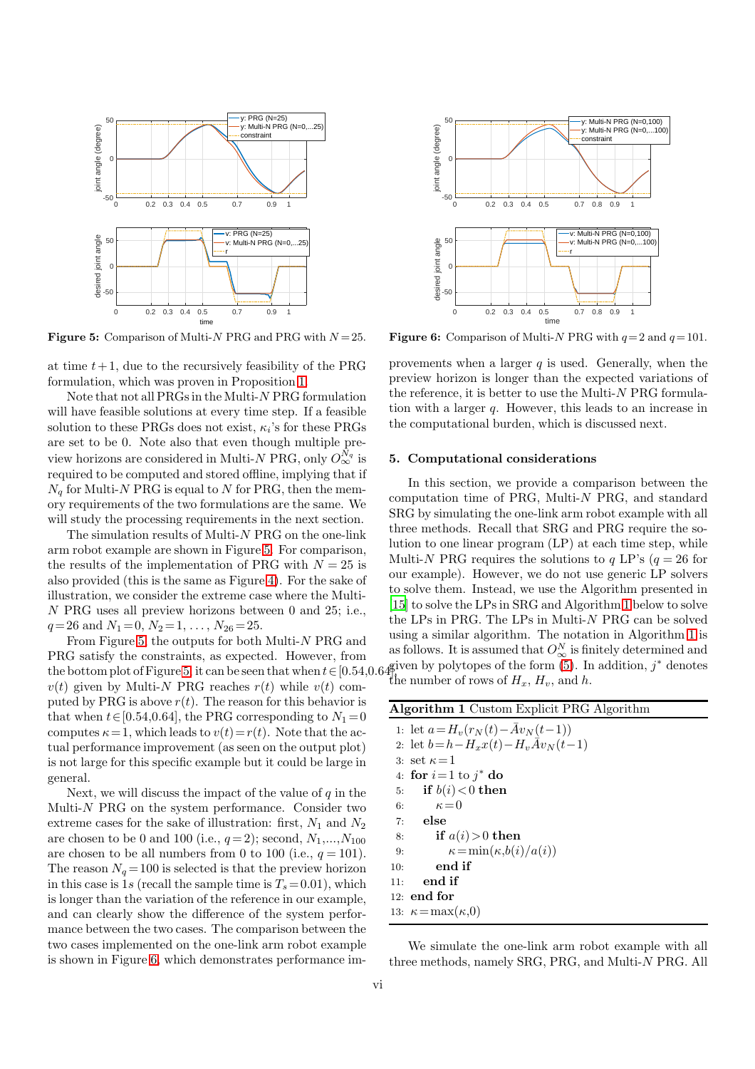<span id="page-5-1"></span>

**Figure 5:** Comparison of Multi-N PRG and PRG with  $N = 25$ .

at time  $t+1$ , due to the recursively feasibility of the PRG formulation, which was proven in Proposition [1.](#page-3-4)

Note that not all PRGs in the Multi-N PRG formulation will have feasible solutions at every time step. If a feasible solution to these PRGs does not exist,  $\kappa_i$ 's for these PRGs are set to be 0. Note also that even though multiple preview horizons are considered in Multi-N PRG, only  $O_{\infty}^{N_q}$  is required to be computed and stored offline, implying that if  $N_q$  for Multi-N PRG is equal to N for PRG, then the memory requirements of the two formulations are the same. We will study the processing requirements in the next section.

The simulation results of Multi-N PRG on the one-link arm robot example are shown in Figure [5.](#page-5-1) For comparison, the results of the implementation of PRG with  $N = 25$  is also provided (this is the same as Figure [4\)](#page-4-0). For the sake of illustration, we consider the extreme case where the Multi-N PRG uses all preview horizons between 0 and 25; i.e.,  $q= 26$  and  $N_1 = 0, N_2 = 1, \ldots, N_{26} = 25.$ 

From Figure [5,](#page-5-1) the outputs for both Multi-N PRG and PRG satisfy the constraints, as expected. However, from the bottom plot of Figure [5,](#page-5-1) it can be seen that when  $t \in [0.54, 0.64]$  $v(t)$  given by Multi-N PRG reaches  $r(t)$  while  $v(t)$  computed by PRG is above  $r(t)$ . The reason for this behavior is that when  $t \in [0.54, 0.64]$ , the PRG corresponding to  $N_1 = 0$ computes  $\kappa = 1$ , which leads to  $v(t) = r(t)$ . Note that the actual performance improvement (as seen on the output plot) is not large for this specific example but it could be large in general.

Next, we will discuss the impact of the value of  $q$  in the Multi-N PRG on the system performance. Consider two extreme cases for the sake of illustration: first,  $N_1$  and  $N_2$ are chosen to be 0 and 100 (i.e.,  $q=2$ ); second,  $N_1,...,N_{100}$ are chosen to be all numbers from 0 to 100 (i.e.,  $q = 101$ ). The reason  $N_a = 100$  is selected is that the preview horizon in this case is 1s (recall the sample time is  $T_s = 0.01$ ), which is longer than the variation of the reference in our example, and can clearly show the difference of the system performance between the two cases. The comparison between the two cases implemented on the one-link arm robot example is shown in Figure [6,](#page-5-2) which demonstrates performance im-

<span id="page-5-2"></span>

**Figure 6:** Comparison of Multi-N PRG with  $q=2$  and  $q=101$ .

provements when a larger  $q$  is used. Generally, when the preview horizon is longer than the expected variations of the reference, it is better to use the Multi- $N$  PRG formulation with a larger q. However, this leads to an increase in the computational burden, which is discussed next.

#### <span id="page-5-0"></span>5. Computational considerations

In this section, we provide a comparison between the computation time of PRG, Multi-N PRG, and standard SRG by simulating the one-link arm robot example with all three methods. Recall that SRG and PRG require the solution to one linear program (LP) at each time step, while Multi-N PRG requires the solutions to q LP's  $(q = 26$  for our example). However, we do not use generic LP solvers to solve them. Instead, we use the Algorithm presented in [\[15](#page-11-10)] to solve the LPs in SRG and Algorithm [1](#page-5-3) below to solve the LPs in PRG. The LPs in Multi-N PRG can be solved using a similar algorithm. The notation in Algorithm [1](#page-5-3) is as follows. It is assumed that  $O^N_{\infty}$  is finitely determined and given by polytopes of the form  $(5)$ . In addition,  $j^*$  denotes the number of rows of  $H_x$ ,  $H_y$ , and h.

| <b>Algorithm 1</b> Custom Explicit PRG Algorithm |  |  |
|--------------------------------------------------|--|--|
| 1: let $a = H_v(r_N(t) - \bar{A}v_N(t-1))$       |  |  |
| 2: let $b = h - H_x x(t) - H_y A v_N(t-1)$       |  |  |
| 3: set $\kappa = 1$                              |  |  |
| 4: for $i=1$ to $i^*$ do                         |  |  |
| if $b(i) < 0$ then<br>5:                         |  |  |
| $\kappa = 0$<br>6:                               |  |  |
| $7:$ else                                        |  |  |
| if $a(i) > 0$ then<br>8:                         |  |  |
| $\kappa = \min(\kappa, b(i)/a(i))$<br>9:         |  |  |
| end if<br>10:                                    |  |  |
| end if<br>11:                                    |  |  |
| $12:$ end for                                    |  |  |
| 13: $\kappa = \max(\kappa, 0)$                   |  |  |

<span id="page-5-3"></span>We simulate the one-link arm robot example with all three methods, namely SRG, PRG, and Multi-N PRG. All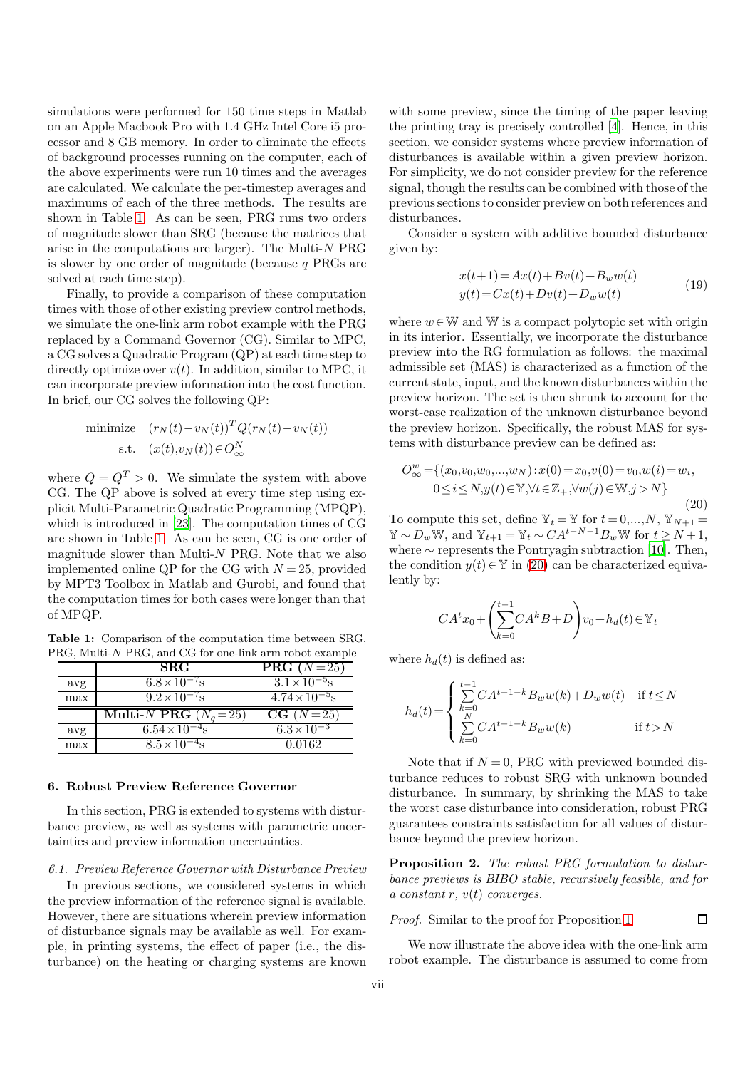simulations were performed for 150 time steps in Matlab on an Apple Macbook Pro with 1.4 GHz Intel Core i5 processor and 8 GB memory. In order to eliminate the effects of background processes running on the computer, each of the above experiments were run 10 times and the averages are calculated. We calculate the per-timestep averages and maximums of each of the three methods. The results are shown in Table [1.](#page-6-0) As can be seen, PRG runs two orders of magnitude slower than SRG (because the matrices that arise in the computations are larger). The Multi-N PRG is slower by one order of magnitude (because  $q$  PRGs are solved at each time step).

Finally, to provide a comparison of these computation times with those of other existing preview control methods, we simulate the one-link arm robot example with the PRG replaced by a Command Governor (CG). Similar to MPC, a CG solves a Quadratic Program (QP) at each time step to directly optimize over  $v(t)$ . In addition, similar to MPC, it can incorporate preview information into the cost function. In brief, our CG solves the following QP:

minimize 
$$
(r_N(t) - v_N(t))^T Q(r_N(t) - v_N(t))
$$
  
s.t.  $(x(t), v_N(t)) \in O_\infty^N$ 

where  $Q = Q^T > 0$ . We simulate the system with above CG. The QP above is solved at every time step using explicit Multi-Parametric Quadratic Programming (MPQP), which is introduced in [\[23\]](#page-11-11). The computation times of CG are shown in Table [1.](#page-6-0) As can be seen, CG is one order of magnitude slower than Multi- $N$  PRG. Note that we also implemented online QP for the CG with  $N = 25$ , provided by MPT3 Toolbox in Matlab and Gurobi, and found that the computation times for both cases were longer than that of MPQP.

<span id="page-6-0"></span>Table 1: Comparison of the computation time between SRG, PRG, Multi-N PRG, and CG for one-link arm robot example

|     | $_{\rm SRG}$                   | $\overline{\text{PRG}}$ (N = 25) |
|-----|--------------------------------|----------------------------------|
| avg | $6.8\times10^{-7}$ s           | $3.1 \times 10^{-5}$ s           |
| max | $9.2 \times 10^{-7}$ s         | $4.74 \times 10^{-5}$ s          |
|     |                                |                                  |
|     | Multi- <i>N</i> PRG $(N_a=25)$ | $CG (N=25)$                      |
| avg | $6.54\times10^{-4}$ s          | $6.3 \times 10^{-3}$             |

#### 6. Robust Preview Reference Governor

In this section, PRG is extended to systems with disturbance preview, as well as systems with parametric uncertainties and preview information uncertainties.

<span id="page-6-2"></span>6.1. Preview Reference Governor with Disturbance Preview

In previous sections, we considered systems in which the preview information of the reference signal is available. However, there are situations wherein preview information of disturbance signals may be available as well. For example, in printing systems, the effect of paper (i.e., the disturbance) on the heating or charging systems are known

with some preview, since the timing of the paper leaving the printing tray is precisely controlled [\[4\]](#page-10-8). Hence, in this section, we consider systems where preview information of disturbances is available within a given preview horizon. For simplicity, we do not consider preview for the reference signal, though the results can be combined with those of the previous sections to consider preview on both references and disturbances.

Consider a system with additive bounded disturbance given by:

$$
x(t+1) = Ax(t) + Bv(t) + B_w w(t)
$$
  
\n
$$
y(t) = Cx(t) + Dv(t) + D_w w(t)
$$
\n(19)

where  $w \in \mathbb{W}$  and  $\mathbb{W}$  is a compact polytopic set with origin in its interior. Essentially, we incorporate the disturbance preview into the RG formulation as follows: the maximal admissible set (MAS) is characterized as a function of the current state, input, and the known disturbances within the preview horizon. The set is then shrunk to account for the worst-case realization of the unknown disturbance beyond the preview horizon. Specifically, the robust MAS for systems with disturbance preview can be defined as:

<span id="page-6-1"></span>
$$
O_{\infty}^{w} = \{ (x_0, v_0, w_0, ..., w_N) : x(0) = x_0, v(0) = v_0, w(i) = w_i, 0 \le i \le N, y(t) \in \mathbb{Y}, \forall t \in \mathbb{Z}_+, \forall w(j) \in \mathbb{W}, j > N \}
$$
\n(20)

To compute this set, define  $\mathbb{Y}_t = \mathbb{Y}$  for  $t = 0,...,N$ ,  $\mathbb{Y}_{N+1} =$  $\mathbb{Y} \sim D_w \mathbb{W}$ , and  $\mathbb{Y}_{t+1} = \mathbb{Y}_t \sim CA^{t-N-1}B_w \mathbb{W}$  for  $t \ge N+1$ , where  $\sim$  represents the Pontryagin subtraction [\[10\]](#page-11-6). Then, the condition  $y(t) \in \mathbb{Y}$  in [\(20\)](#page-6-1) can be characterized equivalently by:

$$
CA^{t}x_{0}+\left(\sum_{k=0}^{t-1}CA^{k}B+D\right)v_{0}+h_{d}(t) \in \mathbb{Y}_{t}
$$

where  $h_d(t)$  is defined as:

$$
h_d(t) = \begin{cases} \sum\limits_{k=0}^{t-1} CA^{t-1-k} B_w w(k) + D_w w(t) & \text{if } t \leq N \\ \sum\limits_{k=0}^{N} CA^{t-1-k} B_w w(k) & \text{if } t > N \end{cases}
$$

Note that if  $N = 0$ . PRG with previewed bounded disturbance reduces to robust SRG with unknown bounded disturbance. In summary, by shrinking the MAS to take the worst case disturbance into consideration, robust PRG guarantees constraints satisfaction for all values of disturbance beyond the preview horizon.

Proposition 2. The robust PRG formulation to disturbance previews is BIBO stable, recursively feasible, and for a constant r,  $v(t)$  converges.

 $\Box$ 

Proof. Similar to the proof for Proposition [1](#page-3-4)

We now illustrate the above idea with the one-link arm robot example. The disturbance is assumed to come from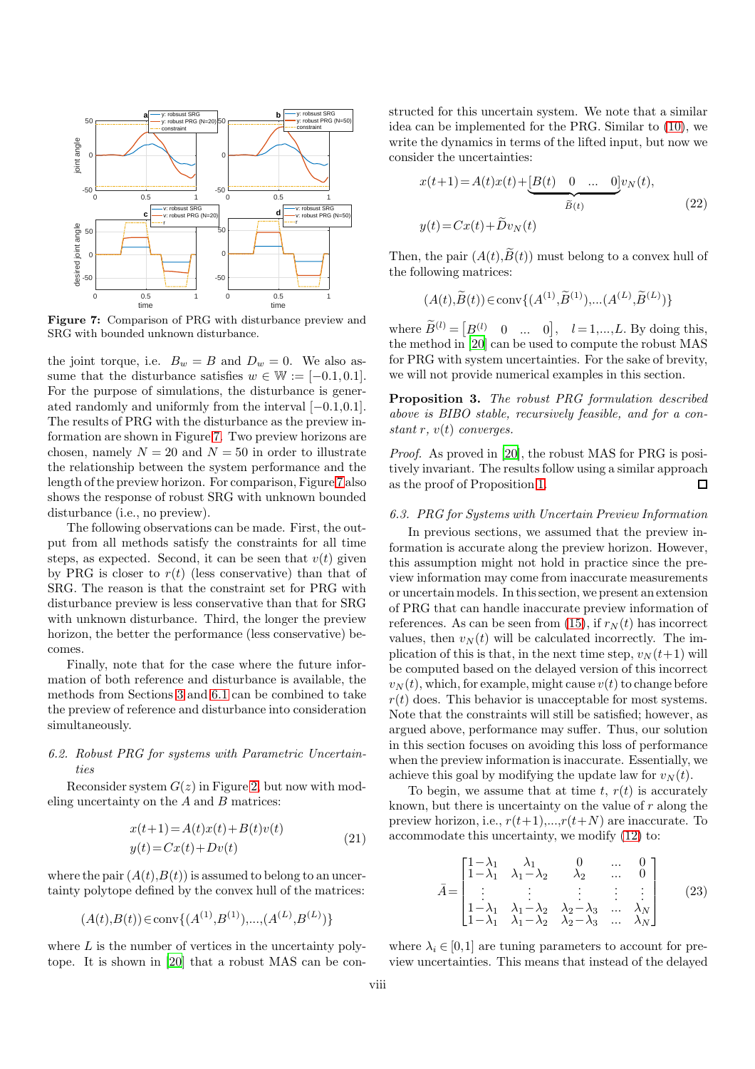<span id="page-7-0"></span>

Figure 7: Comparison of PRG with disturbance preview and SRG with bounded unknown disturbance.

the joint torque, i.e.  $B_w = B$  and  $D_w = 0$ . We also assume that the disturbance satisfies  $w \in \mathbb{W} := [-0.1, 0.1]$ . For the purpose of simulations, the disturbance is generated randomly and uniformly from the interval [−0.1,0.1]. The results of PRG with the disturbance as the preview information are shown in Figure [7.](#page-7-0) Two preview horizons are chosen, namely  $N = 20$  and  $N = 50$  in order to illustrate the relationship between the system performance and the length of the preview horizon. For comparison, Figure [7](#page-7-0) also shows the response of robust SRG with unknown bounded disturbance (i.e., no preview).

The following observations can be made. First, the output from all methods satisfy the constraints for all time steps, as expected. Second, it can be seen that  $v(t)$  given by PRG is closer to  $r(t)$  (less conservative) than that of SRG. The reason is that the constraint set for PRG with disturbance preview is less conservative than that for SRG with unknown disturbance. Third, the longer the preview horizon, the better the performance (less conservative) becomes.

Finally, note that for the case where the future information of both reference and disturbance is available, the methods from Sections [3](#page-2-9) and [6.1](#page-6-2) can be combined to take the preview of reference and disturbance into consideration simultaneously.

## 6.2. Robust PRG for systems with Parametric Uncertainties

Reconsider system  $G(z)$  in Figure [2,](#page-1-0) but now with modeling uncertainty on the  $A$  and  $B$  matrices:

$$
x(t+1) = A(t)x(t) + B(t)v(t)
$$
  
\n
$$
y(t) = Cx(t) + Dv(t)
$$
\n(21)

where the pair  $(A(t),B(t))$  is assumed to belong to an uncertainty polytope defined by the convex hull of the matrices:

$$
(A(t),B(t)) \in \text{conv}\{(A^{(1)},B^{(1)}),...,(A^{(L)},B^{(L)})\}
$$

where  $L$  is the number of vertices in the uncertainty polytope. It is shown in [\[20](#page-11-12)] that a robust MAS can be constructed for this uncertain system. We note that a similar idea can be implemented for the PRG. Similar to [\(10\)](#page-2-10), we write the dynamics in terms of the lifted input, but now we consider the uncertainties:

$$
x(t+1) = A(t)x(t) + \underbrace{[B(t) \quad 0 \quad \dots \quad 0]}_{\widetilde{B}(t)} v_N(t),
$$
  

$$
y(t) = Cx(t) + \widetilde{D}v_N(t)
$$
\n(22)

Then, the pair  $(A(t),\widetilde{B}(t))$  must belong to a convex hull of the following matrices:

$$
(A(t), \widetilde{B}(t)) \in \text{conv}\{(A^{(1)}, \widetilde{B}^{(1)}), \dots (A^{(L)}, \widetilde{B}^{(L)})\}
$$

where  $\widetilde{B}^{(l)} = [B^{(l)} \quad 0 \quad \dots \quad 0], \quad l = 1, \dots, L$ . By doing this, the method in [\[20\]](#page-11-12) can be used to compute the robust MAS for PRG with system uncertainties. For the sake of brevity, we will not provide numerical examples in this section.

Proposition 3. The robust PRG formulation described above is BIBO stable, recursively feasible, and for a constant r,  $v(t)$  converges.

Proof. As proved in [\[20\]](#page-11-12), the robust MAS for PRG is positively invariant. The results follow using a similar approach as the proof of Proposition [1.](#page-3-4) П

## 6.3. PRG for Systems with Uncertain Preview Information

In previous sections, we assumed that the preview information is accurate along the preview horizon. However, this assumption might not hold in practice since the preview information may come from inaccurate measurements or uncertain models. In this section, we present an extension of PRG that can handle inaccurate preview information of references. As can be seen from [\(15\)](#page-3-1), if  $r_N(t)$  has incorrect values, then  $v<sub>N</sub>(t)$  will be calculated incorrectly. The implication of this is that, in the next time step,  $v_N(t+1)$  will be computed based on the delayed version of this incorrect  $v_N(t)$ , which, for example, might cause  $v(t)$  to change before  $r(t)$  does. This behavior is unacceptable for most systems. Note that the constraints will still be satisfied; however, as argued above, performance may suffer. Thus, our solution in this section focuses on avoiding this loss of performance when the preview information is inaccurate. Essentially, we achieve this goal by modifying the update law for  $v_N(t)$ .

To begin, we assume that at time t,  $r(t)$  is accurately known, but there is uncertainty on the value of  $r$  along the preview horizon, i.e.,  $r(t+1),...,r(t+N)$  are inaccurate. To accommodate this uncertainty, we modify [\(12\)](#page-2-8) to:

<span id="page-7-1"></span>
$$
\bar{A} = \begin{bmatrix}\n1 - \lambda_1 & \lambda_1 & 0 & \dots & 0 \\
1 - \lambda_1 & \lambda_1 - \lambda_2 & \lambda_2 & \dots & 0 \\
\vdots & \vdots & \vdots & \vdots & \vdots \\
1 - \lambda_1 & \lambda_1 - \lambda_2 & \lambda_2 - \lambda_3 & \dots & \lambda_N \\
1 - \lambda_1 & \lambda_1 - \lambda_2 & \lambda_2 - \lambda_3 & \dots & \lambda_N\n\end{bmatrix}
$$
\n(23)

where  $\lambda_i \in [0,1]$  are tuning parameters to account for preview uncertainties. This means that instead of the delayed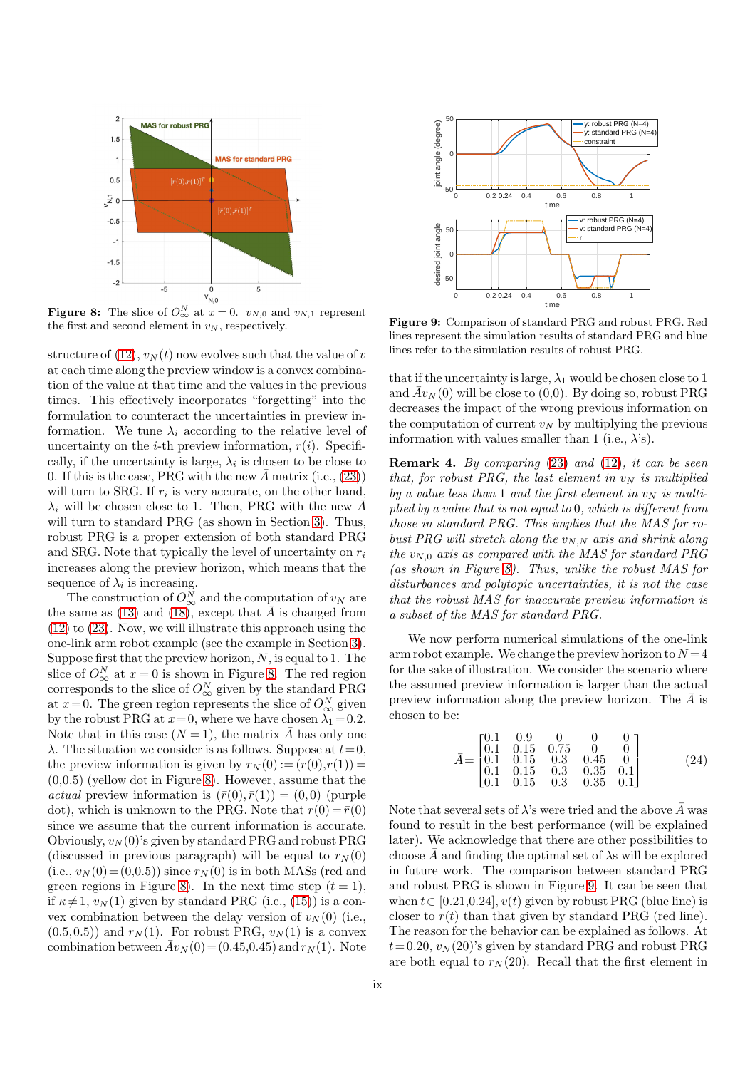<span id="page-8-0"></span>

**Figure 8:** The slice of  $O_{\infty}^{N}$  at  $x = 0$ .  $v_{N,0}$  and  $v_{N,1}$  represent the first and second element in  $v_N$ , respectively.

structure of [\(12\)](#page-2-8),  $v_N(t)$  now evolves such that the value of v at each time along the preview window is a convex combination of the value at that time and the values in the previous times. This effectively incorporates "forgetting" into the formulation to counteract the uncertainties in preview information. We tune  $\lambda_i$  according to the relative level of uncertainty on the *i*-th preview information,  $r(i)$ . Specifically, if the uncertainty is large,  $\lambda_i$  is chosen to be close to 0. If this is the case, PRG with the new  $\bar{A}$  matrix (i.e., [\(23\)](#page-7-1)) will turn to SRG. If  $r_i$  is very accurate, on the other hand,  $\lambda_i$  will be chosen close to 1. Then, PRG with the new  $\bar{A}$ will turn to standard PRG (as shown in Section [3\)](#page-2-9). Thus, robust PRG is a proper extension of both standard PRG and SRG. Note that typically the level of uncertainty on  $r_i$ increases along the preview horizon, which means that the sequence of  $\lambda_i$  is increasing.

The construction of  $O^N_{\infty}$  and the computation of  $v_N$  are the same as [\(13\)](#page-2-6) and [\(18\)](#page-4-2), except that  $\overline{A}$  is changed from [\(12\)](#page-2-8) to [\(23\)](#page-7-1). Now, we will illustrate this approach using the one-link arm robot example (see the example in Section [3\)](#page-2-9). Suppose first that the preview horizon,  $N$ , is equal to 1. The slice of  $O^N_{\infty}$  at  $x=0$  is shown in Figure [8.](#page-8-0) The red region corresponds to the slice of  $O^N_\infty$  given by the standard PRG at  $x=0$ . The green region represents the slice of  $O^N_{\infty}$  given by the robust PRG at  $x=0$ , where we have chosen  $\lambda_1 = 0.2$ . Note that in this case  $(N = 1)$ , the matrix  $\overline{A}$  has only one  $\lambda$ . The situation we consider is as follows. Suppose at  $t=0$ , the preview information is given by  $r_N(0) := (r(0), r(1)) =$ (0,0.5) (yellow dot in Figure [8\)](#page-8-0). However, assume that the *actual* preview information is  $(\bar{r}(0), \bar{r}(1)) = (0, 0)$  (purple dot), which is unknown to the PRG. Note that  $r(0) = \bar{r}(0)$ since we assume that the current information is accurate. Obviously,  $v_N(0)$ 's given by standard PRG and robust PRG (discussed in previous paragraph) will be equal to  $r_N(0)$ (i.e.,  $v_N(0) = (0,0.5)$ ) since  $r_N(0)$  is in both MASs (red and green regions in Figure [8\)](#page-8-0). In the next time step  $(t = 1)$ , if  $\kappa \neq 1$ ,  $v_N(1)$  given by standard PRG (i.e., [\(15\)](#page-3-1)) is a convex combination between the delay version of  $v_N(0)$  (i.e.,  $(0.5,0.5)$  and  $r<sub>N</sub>(1)$ . For robust PRG,  $v<sub>N</sub>(1)$  is a convex combination between  $\bar{A}v_N(0) = (0.45, 0.45)$  and  $r_N(1)$ . Note

<span id="page-8-1"></span>

Figure 9: Comparison of standard PRG and robust PRG. Red lines represent the simulation results of standard PRG and blue lines refer to the simulation results of robust PRG.

that if the uncertainty is large,  $\lambda_1$  would be chosen close to 1 and  $Av_N(0)$  will be close to  $(0,0)$ . By doing so, robust PRG decreases the impact of the wrong previous information on the computation of current  $v_N$  by multiplying the previous information with values smaller than 1 (i.e.,  $\lambda$ 's).

**Remark 4.** By comparing  $(23)$  and  $(12)$ , it can be seen that, for robust PRG, the last element in  $v_N$  is multiplied by a value less than 1 and the first element in  $v_N$  is multiplied by a value that is not equal to 0, which is different from those in standard PRG. This implies that the MAS for robust PRG will stretch along the  $v_{N,N}$  axis and shrink along the  $v_{N,0}$  axis as compared with the MAS for standard PRG (as shown in Figure [8\)](#page-8-0). Thus, unlike the robust MAS for disturbances and polytopic uncertainties, it is not the case that the robust MAS for inaccurate preview information is a subset of the MAS for standard PRG.

We now perform numerical simulations of the one-link arm robot example. We change the preview horizon to  $N = 4$ for the sake of illustration. We consider the scenario where the assumed preview information is larger than the actual preview information along the preview horizon. The  $\overline{A}$  is chosen to be:

<span id="page-8-2"></span>
$$
\bar{A} = \begin{bmatrix}\n0.1 & 0.9 & 0 & 0 & 0 \\
0.1 & 0.15 & 0.75 & 0 & 0 \\
0.1 & 0.15 & 0.3 & 0.45 & 0 \\
0.1 & 0.15 & 0.3 & 0.35 & 0.1 \\
0.1 & 0.15 & 0.3 & 0.35 & 0.1\n\end{bmatrix}
$$
\n(24)

Note that several sets of  $\lambda$ 's were tried and the above  $\bar{A}$  was found to result in the best performance (will be explained later). We acknowledge that there are other possibilities to choose  $\overline{A}$  and finding the optimal set of  $\lambda$ s will be explored in future work. The comparison between standard PRG and robust PRG is shown in Figure [9.](#page-8-1) It can be seen that when  $t \in [0.21, 0.24], v(t)$  given by robust PRG (blue line) is closer to  $r(t)$  than that given by standard PRG (red line). The reason for the behavior can be explained as follows. At  $t = 0.20, v_N (20)$ 's given by standard PRG and robust PRG are both equal to  $r_N(20)$ . Recall that the first element in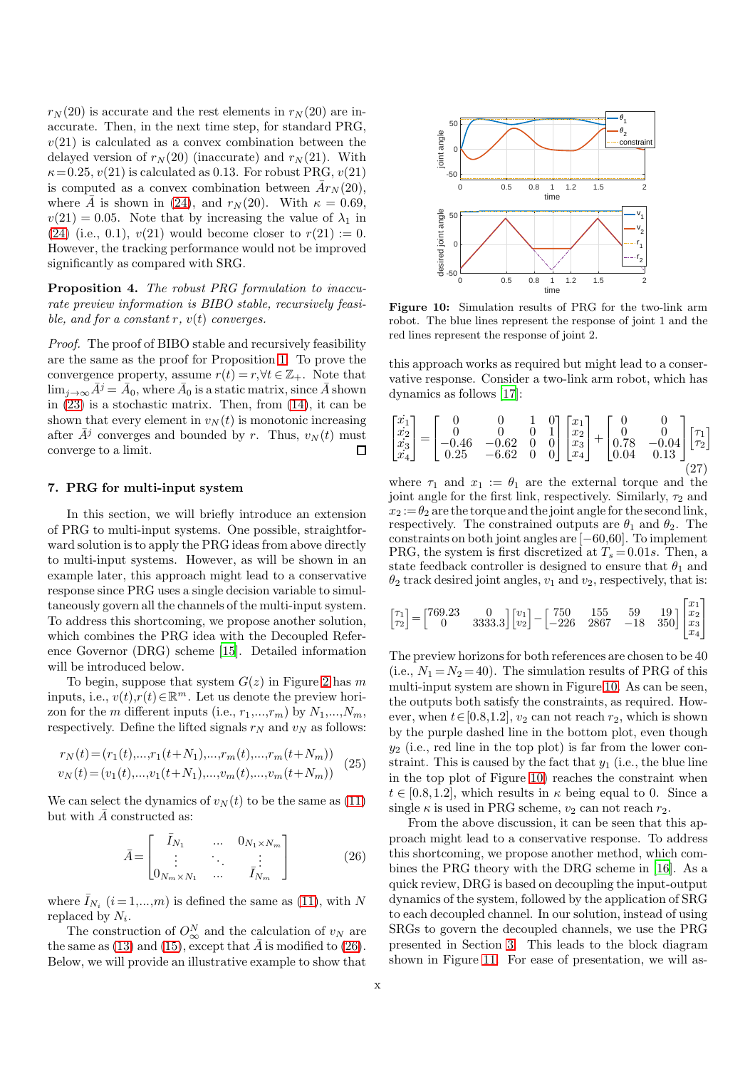$r_N(20)$  is accurate and the rest elements in  $r_N(20)$  are inaccurate. Then, in the next time step, for standard PRG,  $v(21)$  is calculated as a convex combination between the delayed version of  $r_N(20)$  (inaccurate) and  $r_N(21)$ . With  $\kappa = 0.25, v(21)$  is calculated as 0.13. For robust PRG,  $v(21)$ is computed as a convex combination between  $\bar{A}r_N(20)$ , where  $\overline{A}$  is shown in [\(24\)](#page-8-2), and  $r_N(20)$ . With  $\kappa = 0.69$ ,  $v(21) = 0.05$ . Note that by increasing the value of  $\lambda_1$  in [\(24\)](#page-8-2) (i.e., 0.1),  $v(21)$  would become closer to  $r(21) := 0$ . However, the tracking performance would not be improved significantly as compared with SRG.

Proposition 4. The robust PRG formulation to inaccurate preview information is BIBO stable, recursively feasible, and for a constant r,  $v(t)$  converges.

Proof. The proof of BIBO stable and recursively feasibility are the same as the proof for Proposition [1.](#page-3-4) To prove the convergence property, assume  $r(t) = r, \forall t \in \mathbb{Z}_+$ . Note that  $\lim_{j\rightarrow\infty}\bar{A}^{j}=\bar{A}_{0},$  where  $\bar{A}_{0}$  is a static matrix, since  $\bar{A}$  shown in [\(23\)](#page-7-1) is a stochastic matrix. Then, from [\(14\)](#page-3-0), it can be shown that every element in  $v_N(t)$  is monotonic increasing after  $\bar{A}^j$  converges and bounded by r. Thus,  $v_N(t)$  must converge to a limit.  $\Box$ 

#### <span id="page-9-0"></span>7. PRG for multi-input system

In this section, we will briefly introduce an extension of PRG to multi-input systems. One possible, straightforward solution is to apply the PRG ideas from above directly to multi-input systems. However, as will be shown in an example later, this approach might lead to a conservative response since PRG uses a single decision variable to simultaneously govern all the channels of the multi-input system. To address this shortcoming, we propose another solution, which combines the PRG idea with the Decoupled Reference Governor (DRG) scheme [\[15](#page-11-10)]. Detailed information will be introduced below.

To begin, suppose that system  $G(z)$  in Figure [2](#page-1-0) has m inputs, i.e.,  $v(t)$ , $r(t) \in \mathbb{R}^m$ . Let us denote the preview horizon for the m different inputs (i.e.,  $r_1, ..., r_m$ ) by  $N_1, ..., N_m$ , respectively. Define the lifted signals  $r_N$  and  $v_N$  as follows:

$$
r_N(t) = (r_1(t), \dots, r_1(t+N_1), \dots, r_m(t), \dots, r_m(t+N_m))
$$
  
\n
$$
v_N(t) = (v_1(t), \dots, v_1(t+N_1), \dots, v_m(t), \dots, v_m(t+N_m))
$$
 (25)

We can select the dynamics of  $v<sub>N</sub>(t)$  to be the same as [\(11\)](#page-2-7) but with  $\overline{A}$  constructed as:

<span id="page-9-1"></span>
$$
\bar{A} = \begin{bmatrix} \bar{I}_{N_1} & \dots & 0_{N_1 \times N_m} \\ \vdots & \ddots & \vdots \\ 0_{N_m \times N_1} & \dots & \bar{I}_{N_m} \end{bmatrix}
$$
 (26)

where  $\bar{I}_{N_i}$   $(i = 1,...,m)$  is defined the same as [\(11\)](#page-2-7), with N replaced by  $N_i$ .

The construction of  $O_{\infty}^N$  and the calculation of  $v_N$  are the same as [\(13\)](#page-2-6) and [\(15\)](#page-3-1), except that  $\bar{A}$  is modified to [\(26\)](#page-9-1). Below, we will provide an illustrative example to show that

<span id="page-9-2"></span>

Figure 10: Simulation results of PRG for the two-link arm robot. The blue lines represent the response of joint 1 and the red lines represent the response of joint 2.

this approach works as required but might lead to a conservative response. Consider a two-link arm robot, which has dynamics as follows [\[17](#page-11-13)]:

$$
\begin{bmatrix} \dot{x}_1 \\ \dot{x}_2 \\ \dot{x}_3 \\ \dot{x}_4 \end{bmatrix} = \begin{bmatrix} 0 & 0 & 1 & 0 \\ 0 & 0 & 0 & 1 \\ -0.46 & -0.62 & 0 & 0 \\ 0.25 & -6.62 & 0 & 0 \end{bmatrix} \begin{bmatrix} x_1 \\ x_2 \\ x_3 \\ x_4 \end{bmatrix} + \begin{bmatrix} 0 & 0 \\ 0 & 0 \\ 0.78 & -0.04 \\ 0.04 & 0.13 \end{bmatrix} \begin{bmatrix} \tau_1 \\ \tau_2 \\ \tau_3 \end{bmatrix}
$$
\n
$$
(27)
$$

where  $\tau_1$  and  $x_1 := \theta_1$  are the external torque and the joint angle for the first link, respectively. Similarly,  $\tau_2$  and  $x_2 := \theta_2$  are the torque and the joint angle for the second link, respectively. The constrained outputs are  $\theta_1$  and  $\theta_2$ . The constraints on both joint angles are [−60,60]. To implement PRG, the system is first discretized at  $T_s = 0.01s$ . Then, a state feedback controller is designed to ensure that  $\theta_1$  and  $\theta_2$  track desired joint angles,  $v_1$  and  $v_2$ , respectively, that is:

$$
\begin{bmatrix} \tau_1 \\ \tau_2 \end{bmatrix} = \begin{bmatrix} 769.23 & 0 \\ 0 & 3333.3 \end{bmatrix} \begin{bmatrix} v_1 \\ v_2 \end{bmatrix} - \begin{bmatrix} 750 & 155 & 59 & 19 \\ -226 & 2867 & -18 & 350 \end{bmatrix} \begin{bmatrix} x_1 \\ x_2 \\ x_3 \\ x_4 \end{bmatrix}
$$

The preview horizons for both references are chosen to be 40 (i.e.,  $N_1 = N_2 = 40$ ). The simulation results of PRG of this multi-input system are shown in Figure [10.](#page-9-2) As can be seen, the outputs both satisfy the constraints, as required. However, when  $t \in [0.8, 1.2]$ ,  $v_2$  can not reach  $r_2$ , which is shown by the purple dashed line in the bottom plot, even though  $y_2$  (i.e., red line in the top plot) is far from the lower constraint. This is caused by the fact that  $y_1$  (i.e., the blue line in the top plot of Figure [10\)](#page-9-2) reaches the constraint when  $t \in [0.8, 1.2]$ , which results in  $\kappa$  being equal to 0. Since a single  $\kappa$  is used in PRG scheme,  $v_2$  can not reach  $r_2$ .

From the above discussion, it can be seen that this approach might lead to a conservative response. To address this shortcoming, we propose another method, which combines the PRG theory with the DRG scheme in [\[16\]](#page-11-8). As a quick review, DRG is based on decoupling the input-output dynamics of the system, followed by the application of SRG to each decoupled channel. In our solution, instead of using SRGs to govern the decoupled channels, we use the PRG presented in Section [3.](#page-2-9) This leads to the block diagram shown in Figure [11.](#page-10-9) For ease of presentation, we will as-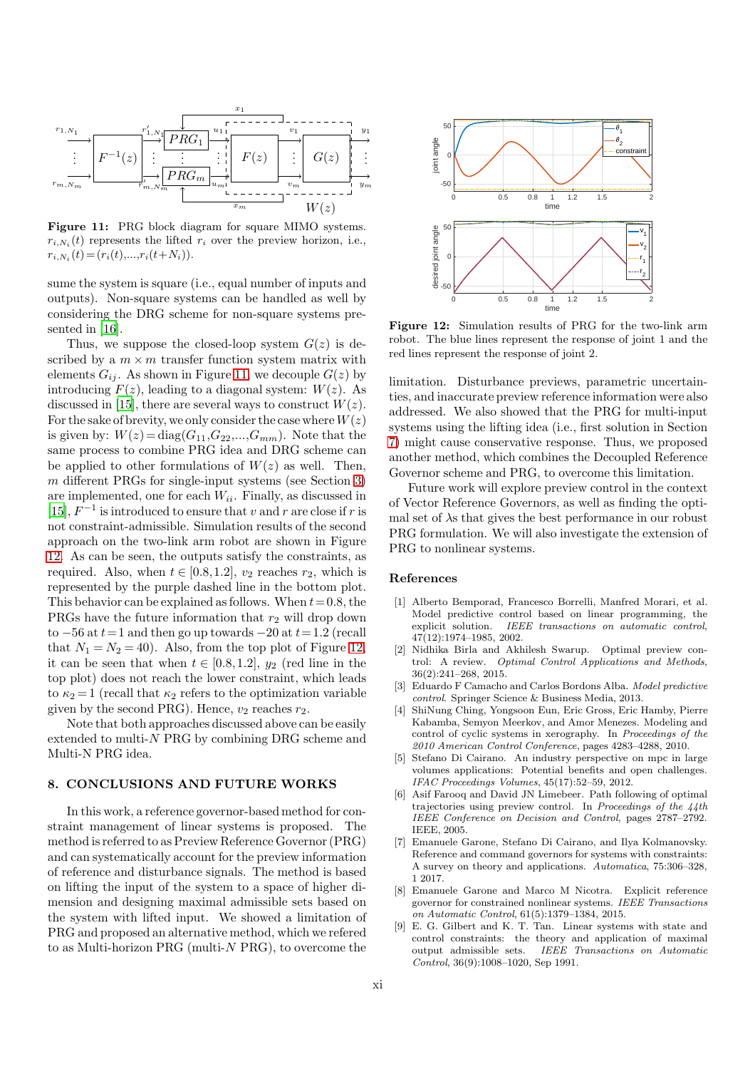<span id="page-10-9"></span>

Figure 11: PRG block diagram for square MIMO systems.  $r_{i,N_i}(t)$  represents the lifted  $r_i$  over the preview horizon, i.e.,  $r_{i,N_i}(t) = (r_i(t),...,r_i(t+N_i)).$ 

sume the system is square (i.e., equal number of inputs and outputs). Non-square systems can be handled as well by considering the DRG scheme for non-square systems presented in [\[16\]](#page-11-8).

Thus, we suppose the closed-loop system  $G(z)$  is described by a  $m \times m$  transfer function system matrix with elements  $G_{ij}$ . As shown in Figure [11,](#page-10-9) we decouple  $G(z)$  by introducing  $F(z)$ , leading to a diagonal system:  $W(z)$ . As discussed in [\[15\]](#page-11-10), there are several ways to construct  $W(z)$ . For the sake of brevity, we only consider the case where  $W(z)$ is given by:  $W(z) = diag(G_{11}, G_{22},...,G_{mm})$ . Note that the same process to combine PRG idea and DRG scheme can be applied to other formulations of  $W(z)$  as well. Then,  $m$  different PRGs for single-input systems (see Section [3\)](#page-2-9) are implemented, one for each  $W_{ii}$ . Finally, as discussed in [\[15](#page-11-10)],  $F^{-1}$  is introduced to ensure that v and r are close if r is not constraint-admissible. Simulation results of the second approach on the two-link arm robot are shown in Figure [12.](#page-10-10) As can be seen, the outputs satisfy the constraints, as required. Also, when  $t \in [0.8, 1.2]$ ,  $v_2$  reaches  $r_2$ , which is represented by the purple dashed line in the bottom plot. This behavior can be explained as follows. When  $t=0.8$ , the PRGs have the future information that  $r_2$  will drop down to  $-56$  at  $t=1$  and then go up towards  $-20$  at  $t=1.2$  (recall that  $N_1 = N_2 = 40$ . Also, from the top plot of Figure [12,](#page-10-10) it can be seen that when  $t \in [0.8, 1.2]$ ,  $y_2$  (red line in the top plot) does not reach the lower constraint, which leads to  $\kappa_2 = 1$  (recall that  $\kappa_2$  refers to the optimization variable given by the second PRG). Hence,  $v_2$  reaches  $r_2$ .

Note that both approaches discussed above can be easily extended to multi-N PRG by combining DRG scheme and Multi-N PRG idea.

## 8. CONCLUSIONS AND FUTURE WORKS

In this work, a reference governor-based method for constraint management of linear systems is proposed. The method is referred to as Preview Reference Governor (PRG) and can systematically account for the preview information of reference and disturbance signals. The method is based on lifting the input of the system to a space of higher dimension and designing maximal admissible sets based on the system with lifted input. We showed a limitation of PRG and proposed an alternative method, which we refered to as Multi-horizon PRG (multi-N PRG), to overcome the

<span id="page-10-10"></span>

Figure 12: Simulation results of PRG for the two-link arm robot. The blue lines represent the response of joint 1 and the red lines represent the response of joint 2.

limitation. Disturbance previews, parametric uncertainties, and inaccurate preview reference information were also addressed. We also showed that the PRG for multi-input systems using the lifting idea (i.e., first solution in Section [7\)](#page-9-0) might cause conservative response. Thus, we proposed another method, which combines the Decoupled Reference Governor scheme and PRG, to overcome this limitation.

Future work will explore preview control in the context of Vector Reference Governors, as well as finding the optimal set of  $\lambda$ s that gives the best performance in our robust PRG formulation. We will also investigate the extension of PRG to nonlinear systems.

#### References

- <span id="page-10-2"></span>[1] Alberto Bemporad, Francesco Borrelli, Manfred Morari, et al. Model predictive control based on linear programming, the explicit solution. *IEEE transactions on automatic control*, 47(12):1974–1985, 2002.
- <span id="page-10-1"></span>[2] Nidhika Birla and Akhilesh Swarup. Optimal preview control: A review. *Optimal Control Applications and Methods*, 36(2):241–268, 2015.
- <span id="page-10-3"></span>[3] Eduardo F Camacho and Carlos Bordons Alba. *Model predictive control*. Springer Science & Business Media, 2013.
- <span id="page-10-8"></span>[4] ShiNung Ching, Yongsoon Eun, Eric Gross, Eric Hamby, Pierre Kabamba, Semyon Meerkov, and Amor Menezes. Modeling and control of cyclic systems in xerography. In *Proceedings of the 2010 American Control Conference*, pages 4283–4288, 2010.
- <span id="page-10-4"></span>[5] Stefano Di Cairano. An industry perspective on mpc in large volumes applications: Potential benefits and open challenges. *IFAC Proceedings Volumes*, 45(17):52–59, 2012.
- <span id="page-10-0"></span>[6] Asif Farooq and David JN Limebeer. Path following of optimal trajectories using preview control. In *Proceedings of the 44th IEEE Conference on Decision and Control*, pages 2787–2792. IEEE, 2005.
- <span id="page-10-5"></span>[7] Emanuele Garone, Stefano Di Cairano, and Ilya Kolmanovsky. Reference and command governors for systems with constraints: A survey on theory and applications. *Automatica*, 75:306–328, 1 2017.
- <span id="page-10-6"></span>[8] Emanuele Garone and Marco M Nicotra. Explicit reference governor for constrained nonlinear systems. *IEEE Transactions on Automatic Control*, 61(5):1379–1384, 2015.
- <span id="page-10-7"></span>[9] E. G. Gilbert and K. T. Tan. Linear systems with state and control constraints: the theory and application of maximal output admissible sets. IEEE Transactions on Automatic output admissible sets. *IEEE Transactions on Automatic Control*, 36(9):1008–1020, Sep 1991.